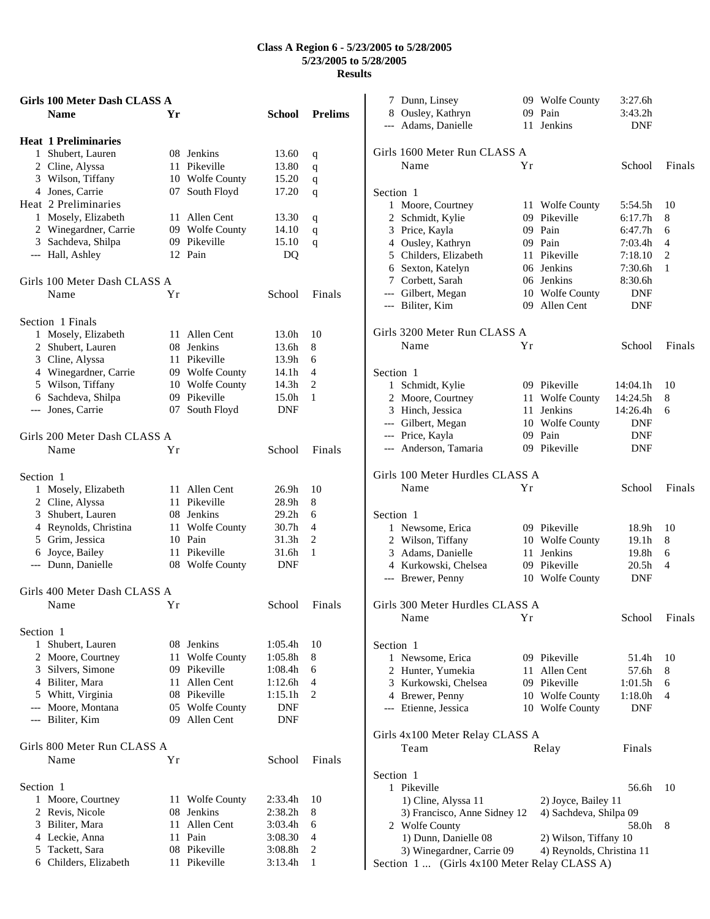## **Class A Region 6 - 5/23/2005 to 5/28/2005 5/23/2005 to 5/28/2005 Results**

|              | <b>Girls 100 Meter Dash CLASS A</b> |    |                     |               |                |
|--------------|-------------------------------------|----|---------------------|---------------|----------------|
|              | <b>Name</b>                         | Yr |                     | <b>School</b> | <b>Prelims</b> |
|              | <b>Heat 1 Preliminaries</b>         |    |                     |               |                |
|              | 1 Shubert, Lauren                   |    | 08 Jenkins          | 13.60         | q              |
|              | 2 Cline, Alyssa                     |    | 11 Pikeville        | 13.80         | q              |
|              | 3 Wilson, Tiffany                   |    | 10 Wolfe County     | 15.20         | q              |
|              | 4 Jones, Carrie                     |    | 07 South Floyd      | 17.20         | q              |
|              | Heat 2 Preliminaries                |    |                     |               |                |
|              | 1 Mosely, Elizabeth                 | 11 | Allen Cent          | 13.30         | q              |
|              | 2 Winegardner, Carrie               |    | 09 Wolfe County     | 14.10         | q              |
|              | 3 Sachdeva, Shilpa                  |    | 09 Pikeville        | 15.10         | q              |
|              | --- Hall, Ashley                    |    | 12 Pain             | DQ            |                |
|              | Girls 100 Meter Dash CLASS A        |    |                     |               |                |
|              | Name                                | Υr |                     | School        | Finals         |
|              | Section 1 Finals                    |    |                     |               |                |
|              | 1 Mosely, Elizabeth                 | 11 | Allen Cent          | 13.0h         | 10             |
|              | 2 Shubert, Lauren                   |    | 08 Jenkins          | 13.6h         | 8              |
|              | 3 Cline, Alyssa                     | 11 | Pikeville           | 13.9h         | 6              |
|              | 4 Winegardner, Carrie               |    | 09 Wolfe County     | 14.1h         | 4              |
|              | 5 Wilson, Tiffany                   |    | 10 Wolfe County     | 14.3h         | 2              |
|              | 6 Sachdeva, Shilpa                  |    | 09 Pikeville        | 15.0h         | 1              |
|              | --- Jones, Carrie                   | 07 | South Floyd         | DNF           |                |
|              |                                     |    |                     |               |                |
|              | Girls 200 Meter Dash CLASS A        |    |                     |               |                |
|              | Name                                | Υr |                     | School        | Finals         |
|              |                                     |    |                     |               |                |
| Section 1    |                                     |    |                     |               |                |
|              | 1 Mosely, Elizabeth                 |    | 11 Allen Cent       | 26.9h         | 10             |
|              | 2 Cline, Alyssa                     |    | 11 Pikeville        | 28.9h         | 8              |
|              | 3 Shubert, Lauren                   |    | 08 Jenkins          | 29.2h         | 6              |
|              | 4 Reynolds, Christina               | 11 | <b>Wolfe County</b> | 30.7h         | 4              |
|              | 5 Grim, Jessica                     |    | 10 Pain             | 31.3h         | 2              |
|              | 6 Joyce, Bailey                     |    | 11 Pikeville        | 31.6h         | 1              |
|              | --- Dunn, Danielle                  |    | 08 Wolfe County     | DNF           |                |
|              | Girls 400 Meter Dash CLASS A        |    |                     |               |                |
|              | Name                                | Υr |                     | School        | Finals         |
|              |                                     |    |                     |               |                |
| Section 1    |                                     |    |                     |               |                |
| $\mathbf{1}$ | Shubert, Lauren                     |    | 08 Jenkins          | 1:05.4h       | 10             |
|              | 2 Moore, Courtney                   |    | 11 Wolfe County     | 1:05.8h       | 8              |
|              | 3 Silvers, Simone                   |    | 09 Pikeville        | 1:08.4h       | 6              |
|              | 4 Biliter, Mara                     | 11 | Allen Cent          | 1:12.6h       | 4              |
|              | 5 Whitt, Virginia                   |    | 08 Pikeville        | 1:15.1h       | $\overline{c}$ |
|              | --- Moore, Montana                  |    | 05 Wolfe County     | DNF           |                |
|              | --- Biliter, Kim                    |    | 09 Allen Cent       | DNF           |                |
|              | Girls 800 Meter Run CLASS A         |    |                     |               |                |
|              | Name                                | Υr |                     | School        | Finals         |
| Section 1    |                                     |    |                     |               |                |
| 1            | Moore, Courtney                     | 11 | <b>Wolfe County</b> | 2:33.4h       | 10             |
|              | 2 Revis, Nicole                     | 08 | Jenkins             | 2:38.2h       | 8              |
|              | 3 Biliter, Mara                     | 11 | Allen Cent          | 3:03.4h       | 6              |
|              | 4 Leckie, Anna                      |    | 11 Pain             | 3:08.30       | $\overline{4}$ |
|              | 5 Tackett, Sara                     |    | 08 Pikeville        | 3:08.8h       | 2              |
|              | 6 Childers, Elizabeth               |    | 11 Pikeville        | 3:13.4h       | 1              |

| 7 Dunn, Linsey                                                              |    | 09 Wolfe County           | 3:27.6h    |                          |
|-----------------------------------------------------------------------------|----|---------------------------|------------|--------------------------|
| 8 Ousley, Kathryn                                                           |    | 09 Pain                   | 3:43.2h    |                          |
| --- Adams, Danielle                                                         |    | 11 Jenkins                | <b>DNF</b> |                          |
|                                                                             |    |                           |            |                          |
| Girls 1600 Meter Run CLASS A                                                |    |                           |            |                          |
| Name                                                                        | Υr |                           | School     | Finals                   |
|                                                                             |    |                           |            |                          |
| Section 1                                                                   |    |                           |            |                          |
| 1 Moore, Courtney                                                           |    | 11 Wolfe County           | 5:54.5h    | 10                       |
| 2 Schmidt, Kylie                                                            |    | 09 Pikeville              | 6:17.7h    | 8                        |
| 3 Price, Kayla                                                              |    | 09 Pain                   | 6:47.7h    | 6                        |
| 4 Ousley, Kathryn                                                           |    | 09 Pain                   | 7:03.4h    | $\overline{4}$           |
| 5 Childers, Elizabeth                                                       |    | 11 Pikeville              | 7:18.10    | 2                        |
| 6 Sexton, Katelyn                                                           |    | 06 Jenkins                | 7:30.6h    | 1                        |
| 7 Corbett, Sarah                                                            |    | 06 Jenkins                | 8:30.6h    |                          |
|                                                                             |    |                           |            |                          |
| --- Gilbert, Megan                                                          |    | 10 Wolfe County           | <b>DNF</b> |                          |
| --- Biliter, Kim                                                            |    | 09 Allen Cent             | <b>DNF</b> |                          |
|                                                                             |    |                           |            |                          |
| Girls 3200 Meter Run CLASS A                                                |    |                           |            |                          |
| Name                                                                        | Υr |                           | School     | Finals                   |
|                                                                             |    |                           |            |                          |
| Section 1                                                                   |    |                           |            |                          |
| 1 Schmidt, Kylie                                                            |    | 09 Pikeville              | 14:04.1h   | 10                       |
| 2 Moore, Courtney                                                           |    | 11 Wolfe County           | 14:24.5h   | 8                        |
| 3 Hinch, Jessica                                                            |    | 11 Jenkins                | 14:26.4h   | 6                        |
| --- Gilbert, Megan                                                          |    | 10 Wolfe County           | DNF        |                          |
| --- Price, Kayla                                                            |    | 09 Pain                   | <b>DNF</b> |                          |
| --- Anderson, Tamaria                                                       |    | 09 Pikeville              | DNF        |                          |
|                                                                             |    |                           |            |                          |
| Girls 100 Meter Hurdles CLASS A                                             |    |                           |            |                          |
|                                                                             |    |                           |            |                          |
|                                                                             |    |                           |            |                          |
| Name                                                                        | Yr |                           | School     | Finals                   |
|                                                                             |    |                           |            |                          |
| Section 1                                                                   |    |                           |            |                          |
| 1 Newsome, Erica                                                            |    | 09 Pikeville              | 18.9h      | 10                       |
| 2 Wilson, Tiffany                                                           |    | 10 Wolfe County           | 19.1h      | 8                        |
| 3 Adams, Danielle                                                           |    | 11 Jenkins                | 19.8h      | 6                        |
| 4 Kurkowski, Chelsea                                                        |    | 09 Pikeville              | 20.5h      | $\overline{\mathcal{A}}$ |
| --- Brewer, Penny                                                           |    | 10 Wolfe County           | <b>DNF</b> |                          |
|                                                                             |    |                           |            |                          |
| Girls 300 Meter Hurdles CLASS A                                             |    |                           |            |                          |
| Name                                                                        | Υr |                           | School     | Finals                   |
|                                                                             |    |                           |            |                          |
|                                                                             |    |                           |            |                          |
| Section 1                                                                   |    |                           |            | 10                       |
| 1 Newsome, Erica                                                            |    | 09 Pikeville              | 51.4h      | 8                        |
| 2 Hunter, Yumekia                                                           |    | 11 Allen Cent             | 57.6h      |                          |
| 3 Kurkowski, Chelsea                                                        |    | 09 Pikeville              | 1:01.5h    | 6                        |
| 4 Brewer, Penny                                                             |    | 10 Wolfe County           | 1:18.0h    | 4                        |
| --- Etienne, Jessica                                                        |    | 10 Wolfe County           | DNF        |                          |
|                                                                             |    |                           |            |                          |
| Girls 4x100 Meter Relay CLASS A                                             |    |                           |            |                          |
| Team                                                                        |    | Relay                     | Finals     |                          |
|                                                                             |    |                           |            |                          |
| Section 1                                                                   |    |                           |            |                          |
| 1 Pikeville                                                                 |    |                           | 56.6h      | 10                       |
| 1) Cline, Alyssa 11                                                         |    | 2) Joyce, Bailey 11       |            |                          |
| 3) Francisco, Anne Sidney 12                                                |    | 4) Sachdeva, Shilpa 09    |            |                          |
| 2 Wolfe County                                                              |    |                           | 58.0h      | 8                        |
| 1) Dunn, Danielle 08                                                        |    | 2) Wilson, Tiffany 10     |            |                          |
| 3) Winegardner, Carrie 09<br>(Girls 4x100 Meter Relay CLASS A)<br>Section 1 |    | 4) Reynolds, Christina 11 |            |                          |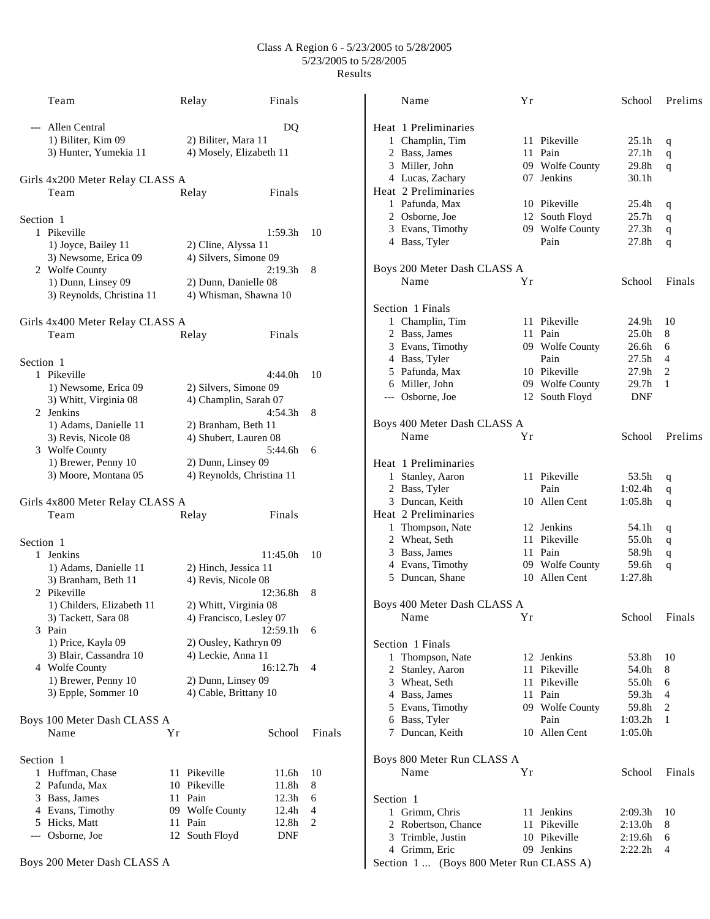## Class A Region 6 - 5/23/2005 to 5/28/2005 5/23/2005 to 5/28/2005 Results

|           | Team                                                         |    | Relay                                            | Finals                     |        |
|-----------|--------------------------------------------------------------|----|--------------------------------------------------|----------------------------|--------|
| ---       | Allen Central<br>1) Biliter, Kim 09<br>3) Hunter, Yumekia 11 |    | 2) Biliter, Mara 11<br>4) Mosely, Elizabeth 11   | DQ                         |        |
|           | Girls 4x200 Meter Relay CLASS A<br>Team                      |    | Relay                                            | Finals                     |        |
| Section 1 |                                                              |    |                                                  |                            |        |
|           | 1 Pikeville                                                  |    |                                                  | 1:59.3h                    | 10     |
|           | 1) Joyce, Bailey 11                                          |    | 2) Cline, Alyssa 11                              |                            |        |
|           | 3) Newsome, Erica 09<br>2 Wolfe County                       |    | 4) Silvers, Simone 09                            | 2:19.3h                    | 8      |
|           | 1) Dunn, Linsey 09                                           |    | 2) Dunn, Danielle 08                             |                            |        |
|           | 3) Reynolds, Christina 11                                    |    | 4) Whisman, Shawna 10                            |                            |        |
|           | Girls 4x400 Meter Relay CLASS A                              |    |                                                  |                            |        |
|           | Team                                                         |    | Relay                                            | Finals                     |        |
| Section 1 |                                                              |    |                                                  |                            |        |
|           | 1 Pikeville                                                  |    |                                                  | 4:44.0h                    | 10     |
|           | 1) Newsome, Erica 09                                         |    | 2) Silvers, Simone 09                            |                            |        |
|           | 3) Whitt, Virginia 08<br>2 Jenkins                           |    | 4) Champlin, Sarah 07                            | 4:54.3h                    |        |
|           | 1) Adams, Danielle 11                                        |    | 2) Branham, Beth 11                              |                            | 8      |
|           | 3) Revis, Nicole 08                                          |    | 4) Shubert, Lauren 08                            |                            |        |
|           | 3 Wolfe County                                               |    |                                                  | 5:44.6h                    | 6      |
|           | 1) Brewer, Penny 10                                          |    | 2) Dunn, Linsey 09                               |                            |        |
|           | 3) Moore, Montana 05                                         |    | 4) Reynolds, Christina 11                        |                            |        |
|           | Girls 4x800 Meter Relay CLASS A                              |    |                                                  |                            |        |
|           | Team                                                         |    | Relay                                            | Finals                     |        |
| Section 1 |                                                              |    |                                                  |                            |        |
|           | 1 Jenkins                                                    |    |                                                  | 11:45.0h                   | 10     |
|           | 1) Adams, Danielle 11                                        |    | 2) Hinch, Jessica 11                             |                            |        |
|           | 3) Branham, Beth 11                                          |    | 4) Revis, Nicole 08                              |                            |        |
|           | 2 Pikeville                                                  |    |                                                  | 12:36.8h                   | 8      |
|           | 1) Childers, Elizabeth 11<br>3) Tackett, Sara 08             |    | 2) Whitt, Virginia 08<br>4) Francisco, Lesley 07 |                            |        |
|           | 3 Pain                                                       |    |                                                  | 12:59.1h                   | 6      |
|           | 1) Price, Kayla 09                                           |    | 2) Ousley, Kathryn 09                            |                            |        |
|           | 3) Blair, Cassandra 10                                       |    | 4) Leckie, Anna 11                               |                            |        |
|           | 4 Wolfe County                                               |    |                                                  | 16:12.7h                   | 4      |
|           | 1) Brewer, Penny 10                                          |    | 2) Dunn, Linsey 09                               |                            |        |
|           | 3) Epple, Sommer 10                                          |    | 4) Cable, Brittany 10                            |                            |        |
|           | Boys 100 Meter Dash CLASS A                                  |    |                                                  |                            |        |
|           | Name                                                         | Υr |                                                  | School                     | Finals |
| Section 1 |                                                              |    |                                                  |                            |        |
| 1         | Huffman, Chase                                               |    | 11 Pikeville                                     | 11.6h                      | 10     |
| 2         | Pafunda, Max                                                 | 10 | Pikeville                                        | 11.8h                      | 8      |
|           | 3 Bass, James                                                |    | 11 Pain                                          | 12.3 <sub>h</sub><br>12.4h | 6<br>4 |
|           | 4 Evans, Timothy<br>5 Hicks, Matt                            | 11 | 09 Wolfe County<br>Pain                          | 12.8h                      | 2      |
| ---       | Osborne, Joe                                                 | 12 | South Floyd                                      | DNF                        |        |
|           |                                                              |    |                                                  |                            |        |

|           | Name                        | Υr |                 | School            | Prelims        |
|-----------|-----------------------------|----|-----------------|-------------------|----------------|
|           | Heat 1 Preliminaries        |    |                 |                   |                |
|           | 1 Champlin, Tim             |    | 11 Pikeville    | 25.1 <sub>h</sub> | q              |
|           | 2 Bass, James               |    | 11 Pain         | 27.1 <sub>h</sub> | q              |
|           | 3 Miller, John              |    | 09 Wolfe County | 29.8h             | q              |
|           | 4 Lucas, Zachary            |    | 07 Jenkins      | 30.1 <sub>h</sub> |                |
|           | Heat 2 Preliminaries        |    |                 |                   |                |
|           | 1 Pafunda, Max              |    | 10 Pikeville    | 25.4 <sub>h</sub> | q              |
|           | 2 Osborne, Joe              |    | 12 South Floyd  | 25.7 <sub>h</sub> | q              |
|           | 3 Evans, Timothy            |    | 09 Wolfe County | 27.3 <sub>h</sub> | q              |
|           | 4 Bass, Tyler               |    | Pain            | 27.8h             | q              |
|           | Boys 200 Meter Dash CLASS A |    |                 |                   |                |
|           | Name                        | Yr |                 | School            | Finals         |
|           | Section 1 Finals            |    |                 |                   |                |
|           | 1 Champlin, Tim             |    | 11 Pikeville    | 24.9h             | 10             |
|           | 2 Bass, James               |    | 11 Pain         | 25.0 <sub>h</sub> | 8              |
|           | 3 Evans, Timothy            |    | 09 Wolfe County | 26.6h             | 6              |
|           | 4 Bass, Tyler               |    | Pain            | 27.5h             | 4              |
|           | 5 Pafunda, Max              |    | 10 Pikeville    | 27.9h             | 2              |
|           | 6 Miller, John              |    | 09 Wolfe County | 29.7h             | 1              |
|           | --- Osborne, Joe            |    | 12 South Floyd  | <b>DNF</b>        |                |
|           | Boys 400 Meter Dash CLASS A |    |                 |                   |                |
|           | Name                        | Yr |                 | School            | Prelims        |
|           | Heat 1 Preliminaries        |    |                 |                   |                |
|           | 1 Stanley, Aaron            |    | 11 Pikeville    | 53.5h             | q              |
|           | 2 Bass, Tyler               |    | Pain            | 1:02.4h           | q              |
|           | 3 Duncan, Keith             |    | 10 Allen Cent   | 1:05.8h           | q              |
|           | Heat 2 Preliminaries        |    |                 |                   |                |
|           | 1 Thompson, Nate            |    | 12 Jenkins      | 54.1h             | q              |
|           | 2 Wheat, Seth               |    | 11 Pikeville    | 55.0h             | q              |
|           | 3 Bass, James               |    | 11 Pain         | 58.9h             | q              |
|           | 4 Evans, Timothy            |    | 09 Wolfe County | 59.6h             | q              |
|           | 5 Duncan, Shane             |    | 10 Allen Cent   | 1:27.8h           |                |
|           | Boys 400 Meter Dash CLASS A |    |                 |                   |                |
|           | Name                        | Υr |                 | School            | Finals         |
|           | Section 1 Finals            |    |                 |                   |                |
|           | 1 Thompson, Nate            |    | 12 Jenkins      | 53.8h             | 10             |
|           | 2 Stanley, Aaron            |    | 11 Pikeville    | 54.0h             | 8              |
|           | 3 Wheat, Seth               |    | 11 Pikeville    | 55.0h             | 6              |
|           | 4 Bass, James               |    | 11 Pain         | 59.3h             | 4              |
|           | 5 Evans, Timothy            |    | 09 Wolfe County | 59.8h             | $\overline{c}$ |
|           |                             |    |                 |                   |                |
|           | 6 Bass, Tyler               |    | Pain            | 1:03.2h           | 1              |
|           | 7 Duncan, Keith             |    | 10 Allen Cent   | 1:05.0h           |                |
|           | Boys 800 Meter Run CLASS A  |    |                 |                   |                |
|           | Name                        | Υr |                 | School            | Finals         |
|           |                             |    |                 |                   |                |
|           | 1 Grimm, Chris              |    | 11 Jenkins      | 2:09.3h           | 10             |
| Section 1 | 2 Robertson, Chance         |    | 11 Pikeville    | 2:13.0h           | 8              |
|           | 3 Trimble, Justin           |    | 10 Pikeville    | 2:19.6h           | 6              |